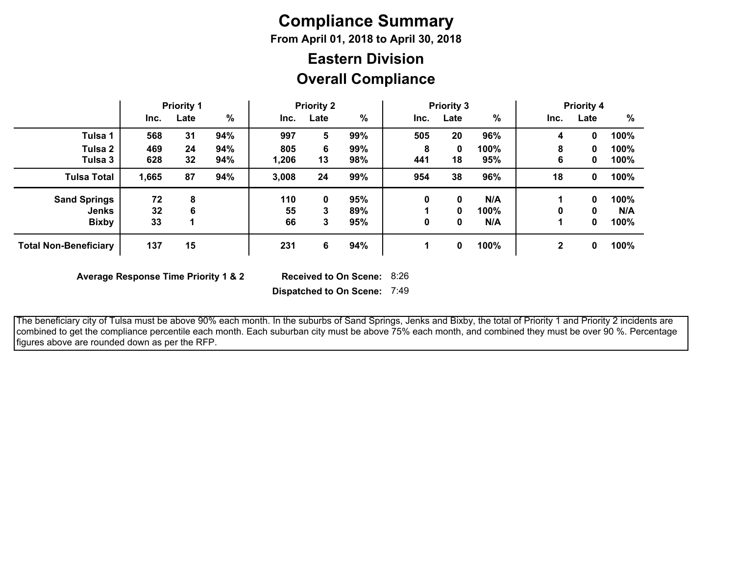# **Compliance Summary**

**From April 01, 2018 to April 30, 2018**

## **Overall Compliance Eastern Division**

|                              | <b>Priority 1</b> |      | <b>Priority 2</b> |       |      | <b>Priority 3</b> |      |      | <b>Priority 4</b> |      |      |      |
|------------------------------|-------------------|------|-------------------|-------|------|-------------------|------|------|-------------------|------|------|------|
|                              | Inc.              | Late | %                 | Inc.  | Late | %                 | Inc. | Late | %                 | Inc. | Late | $\%$ |
| Tulsa 1                      | 568               | 31   | 94%               | 997   | 5    | 99%               | 505  | 20   | 96%               | 4    | 0    | 100% |
| Tulsa 2                      | 469               | 24   | 94%               | 805   | 6    | 99%               | 8    | 0    | 100%              | 8    | 0    | 100% |
| Tulsa 3                      | 628               | 32   | 94%               | 1,206 | 13   | 98%               | 441  | 18   | 95%               | 6    | 0    | 100% |
| Tulsa Total                  | 1,665             | 87   | 94%               | 3,008 | 24   | 99%               | 954  | 38   | 96%               | 18   | 0    | 100% |
| <b>Sand Springs</b>          | 72                | 8    |                   | 110   | 0    | 95%               | 0    | 0    | N/A               |      | 0    | 100% |
| Jenks                        | 32                | 6    |                   | 55    | 3    | 89%               |      | 0    | 100%              | 0    | 0    | N/A  |
| <b>Bixby</b>                 | 33                |      |                   | 66    | 3    | 95%               | 0    | 0    | N/A               |      | 0    | 100% |
| <b>Total Non-Beneficiary</b> | 137               | 15   |                   | 231   | 6    | 94%               |      | 0    | 100%              | 2    | 0    | 100% |

**Average Response Time Priority 1 & 2** 

Received to On Scene: 8:26

**Dispatched to On Scene:** 7:49

 The beneficiary city of Tulsa must be above 90% each month. In the suburbs of Sand Springs, Jenks and Bixby, the total of Priority 1 and Priority 2 incidents are combined to get the compliance percentile each month. Each suburban city must be above 75% each month, and combined they must be over 90 %. Percentage figures above are rounded down as per the RFP.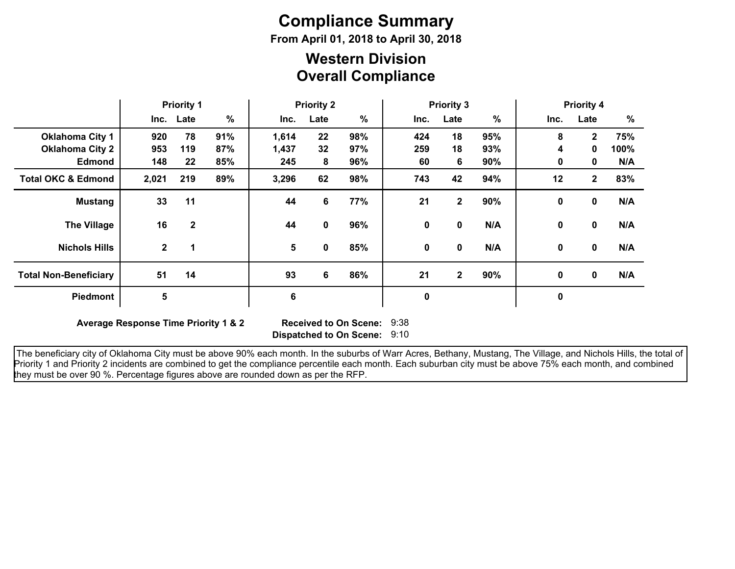# **Compliance Summary**

**From April 01, 2018 to April 30, 2018**

### **Overall Compliance Western Division**

|                               | <b>Priority 1</b> |              | <b>Priority 2</b> |                 |             | <b>Priority 3</b> |             |              |     | <b>Priority 4</b><br>%<br>Inc.<br>Late<br>75%<br>8<br>$\overline{2}$<br>100%<br>4<br>$\mathbf{0}$ |              |     |
|-------------------------------|-------------------|--------------|-------------------|-----------------|-------------|-------------------|-------------|--------------|-----|---------------------------------------------------------------------------------------------------|--------------|-----|
|                               |                   | Inc. Late    | $\%$              | Inc.            | Late        | $\frac{9}{6}$     | Inc.        | Late         | %   |                                                                                                   |              |     |
| <b>Oklahoma City 1</b>        | 920               | 78           | 91%               | 1,614           | 22          | 98%               | 424         | 18           | 95% |                                                                                                   |              |     |
| <b>Oklahoma City 2</b>        | 953               | 119          | 87%               | 1,437           | 32          | 97%               | 259         | 18           | 93% |                                                                                                   |              |     |
| <b>Edmond</b>                 | 148               | 22           | 85%               | 245             | 8           | 96%               | 60          | 6            | 90% | 0                                                                                                 | 0            | N/A |
| <b>Total OKC &amp; Edmond</b> | 2,021             | 219          | 89%               | 3,296           | 62          | 98%               | 743         | 42           | 94% | 12                                                                                                | $\mathbf{2}$ | 83% |
| <b>Mustang</b>                | 33                | 11           |                   | 44              | 6           | 77%               | 21          | $\mathbf{2}$ | 90% | $\mathbf 0$                                                                                       | $\mathbf 0$  | N/A |
| <b>The Village</b>            | 16                | $\mathbf{2}$ |                   | 44              | $\mathbf 0$ | 96%               | 0           | 0            | N/A | $\mathbf{0}$                                                                                      | $\mathbf{0}$ | N/A |
| <b>Nichols Hills</b>          | $\mathbf{2}$      | 1            |                   | $5\phantom{.0}$ | 0           | 85%               | 0           | $\mathbf 0$  | N/A | 0                                                                                                 | $\mathbf 0$  | N/A |
| <b>Total Non-Beneficiary</b>  | 51                | 14           |                   | 93              | 6           | 86%               | 21          | $\mathbf{2}$ | 90% | 0                                                                                                 | $\mathbf 0$  | N/A |
| Piedmont                      | 5                 |              |                   | 6               |             |                   | $\mathbf 0$ |              |     | $\mathbf 0$                                                                                       |              |     |

**Average Response Time Priority 1 & 2** 

**Dispatched to On Scene:** 9:10 Received to On Scene: 9:38

 The beneficiary city of Oklahoma City must be above 90% each month. In the suburbs of Warr Acres, Bethany, Mustang, The Village, and Nichols Hills, the total of Priority 1 and Priority 2 incidents are combined to get the compliance percentile each month. Each suburban city must be above 75% each month, and combined they must be over 90 %. Percentage figures above are rounded down as per the RFP.